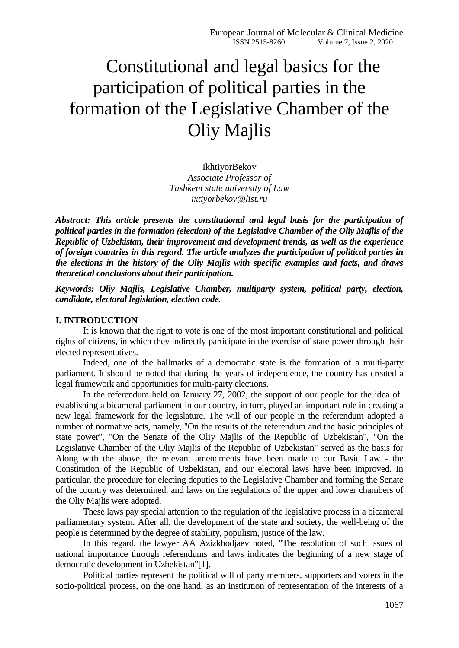# Constitutional and legal basics for the participation of political parties in the formation of the Legislative Chamber of the Oliy Majlis

IkhtiyorBekov *Associate Professor of Tashkent state university of Law ixtiyorbekov@list.ru*

*Abstract: This article presents the constitutional and legal basis for the participation of political parties in the formation (election) of the Legislative Chamber of the Oliy Majlis of the Republic of Uzbekistan, their improvement and development trends, as well as the experience of foreign countries in this regard. The article analyzes the participation of political parties in the elections in the history of the Oliy Majlis with specific examples and facts, and draws theoretical conclusions about their participation.*

*Keywords: Oliy Majlis, Legislative Chamber, multiparty system, political party, election, candidate, electoral legislation, election code.*

## **I. INTRODUCTION**

It is known that the right to vote is one of the most important constitutional and political rights of citizens, in which they indirectly participate in the exercise of state power through their elected representatives.

Indeed, one of the hallmarks of a democratic state is the formation of a multi-party parliament. It should be noted that during the years of independence, the country has created a legal framework and opportunities for multi-party elections.

In the referendum held on January 27, 2002, the support of our people for the idea of establishing a bicameral parliament in our country, in turn, played an important role in creating a new legal framework for the legislature. The will of our people in the referendum adopted a number of normative acts, namely, "On the results of the referendum and the basic principles of state power", "On the Senate of the Oliy Majlis of the Republic of Uzbekistan", "On the Legislative Chamber of the Oliy Majlis of the Republic of Uzbekistan" served as the basis for Along with the above, the relevant amendments have been made to our Basic Law - the Constitution of the Republic of Uzbekistan, and our electoral laws have been improved. In particular, the procedure for electing deputies to the Legislative Chamber and forming the Senate of the country was determined, and laws on the regulations of the upper and lower chambers of the Oliy Majlis were adopted.

These laws pay special attention to the regulation of the legislative process in a bicameral parliamentary system. After all, the development of the state and society, the well-being of the people is determined by the degree of stability, populism, justice of the law.

In this regard, the lawyer AA Azizkhodjaev noted, "The resolution of such issues of national importance through referendums and laws indicates the beginning of a new stage of democratic development in Uzbekistan"[1].

Political parties represent the political will of party members, supporters and voters in the socio-political process, on the one hand, as an institution of representation of the interests of a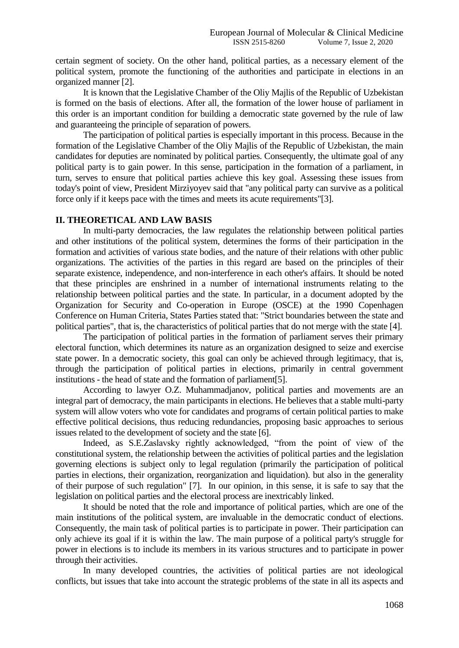certain segment of society. On the other hand, political parties, as a necessary element of the political system, promote the functioning of the authorities and participate in elections in an organized manner [2].

It is known that the Legislative Chamber of the Oliy Majlis of the Republic of Uzbekistan is formed on the basis of elections. After all, the formation of the lower house of parliament in this order is an important condition for building a democratic state governed by the rule of law and guaranteeing the principle of separation of powers.

The participation of political parties is especially important in this process. Because in the formation of the Legislative Chamber of the Oliy Majlis of the Republic of Uzbekistan, the main candidates for deputies are nominated by political parties. Consequently, the ultimate goal of any political party is to gain power. In this sense, participation in the formation of a parliament, in turn, serves to ensure that political parties achieve this key goal. Assessing these issues from today's point of view, President Mirziyoyev said that "any political party can survive as a political force only if it keeps pace with the times and meets its acute requirements"[3].

#### **II. THEORETICAL AND LAW BASIS**

In multi-party democracies, the law regulates the relationship between political parties and other institutions of the political system, determines the forms of their participation in the formation and activities of various state bodies, and the nature of their relations with other public organizations. The activities of the parties in this regard are based on the principles of their separate existence, independence, and non-interference in each other's affairs. It should be noted that these principles are enshrined in a number of international instruments relating to the relationship between political parties and the state. In particular, in a document adopted by the Organization for Security and Co-operation in Europe (OSCE) at the 1990 Copenhagen Conference on Human Criteria, States Parties stated that: "Strict boundaries between the state and political parties", that is, the characteristics of political parties that do not merge with the state [4].

The participation of political parties in the formation of parliament serves their primary electoral function, which determines its nature as an organization designed to seize and exercise state power. In a democratic society, this goal can only be achieved through legitimacy, that is, through the participation of political parties in elections, primarily in central government institutions - the head of state and the formation of parliament[5].

According to lawyer O.Z. Muhammadjanov, political parties and movements are an integral part of democracy, the main participants in elections. He believes that a stable multi-party system will allow voters who vote for candidates and programs of certain political parties to make effective political decisions, thus reducing redundancies, proposing basic approaches to serious issues related to the development of society and the state [6].

Indeed, as S.E.Zaslavsky rightly acknowledged, "from the point of view of the constitutional system, the relationship between the activities of political parties and the legislation governing elections is subject only to legal regulation (primarily the participation of political parties in elections, their organization, reorganization and liquidation). but also in the generality of their purpose of such regulation" [7]. In our opinion, in this sense, it is safe to say that the legislation on political parties and the electoral process are inextricably linked.

It should be noted that the role and importance of political parties, which are one of the main institutions of the political system, are invaluable in the democratic conduct of elections. Consequently, the main task of political parties is to participate in power. Their participation can only achieve its goal if it is within the law. The main purpose of a political party's struggle for power in elections is to include its members in its various structures and to participate in power through their activities.

In many developed countries, the activities of political parties are not ideological conflicts, but issues that take into account the strategic problems of the state in all its aspects and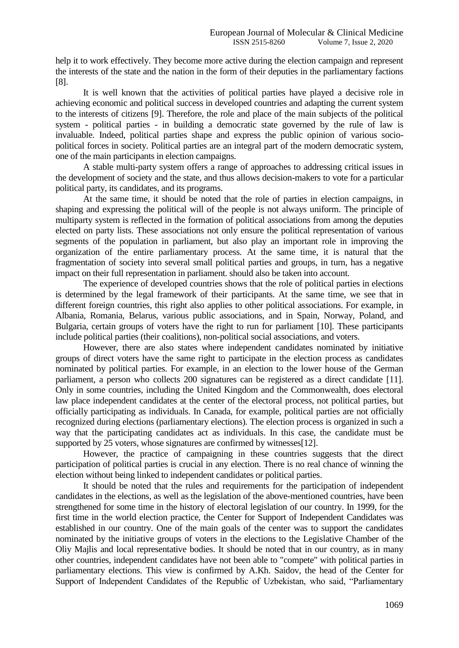help it to work effectively. They become more active during the election campaign and represent the interests of the state and the nation in the form of their deputies in the parliamentary factions [8].

It is well known that the activities of political parties have played a decisive role in achieving economic and political success in developed countries and adapting the current system to the interests of citizens [9]. Therefore, the role and place of the main subjects of the political system - political parties - in building a democratic state governed by the rule of law is invaluable. Indeed, political parties shape and express the public opinion of various sociopolitical forces in society. Political parties are an integral part of the modern democratic system, one of the main participants in election campaigns.

A stable multi-party system offers a range of approaches to addressing critical issues in the development of society and the state, and thus allows decision-makers to vote for a particular political party, its candidates, and its programs.

At the same time, it should be noted that the role of parties in election campaigns, in shaping and expressing the political will of the people is not always uniform. The principle of multiparty system is reflected in the formation of political associations from among the deputies elected on party lists. These associations not only ensure the political representation of various segments of the population in parliament, but also play an important role in improving the organization of the entire parliamentary process. At the same time, it is natural that the fragmentation of society into several small political parties and groups, in turn, has a negative impact on their full representation in parliament. should also be taken into account.

The experience of developed countries shows that the role of political parties in elections is determined by the legal framework of their participants. At the same time, we see that in different foreign countries, this right also applies to other political associations. For example, in Albania, Romania, Belarus, various public associations, and in Spain, Norway, Poland, and Bulgaria, certain groups of voters have the right to run for parliament [10]. These participants include political parties (their coalitions), non-political social associations, and voters.

However, there are also states where independent candidates nominated by initiative groups of direct voters have the same right to participate in the election process as candidates nominated by political parties. For example, in an election to the lower house of the German parliament, a person who collects 200 signatures can be registered as a direct candidate [11]. Only in some countries, including the United Kingdom and the Commonwealth, does electoral law place independent candidates at the center of the electoral process, not political parties, but officially participating as individuals. In Canada, for example, political parties are not officially recognized during elections (parliamentary elections). The election process is organized in such a way that the participating candidates act as individuals. In this case, the candidate must be supported by 25 voters, whose signatures are confirmed by witnesses[12].

However, the practice of campaigning in these countries suggests that the direct participation of political parties is crucial in any election. There is no real chance of winning the election without being linked to independent candidates or political parties.

It should be noted that the rules and requirements for the participation of independent candidates in the elections, as well as the legislation of the above-mentioned countries, have been strengthened for some time in the history of electoral legislation of our country. In 1999, for the first time in the world election practice, the Center for Support of Independent Candidates was established in our country. One of the main goals of the center was to support the candidates nominated by the initiative groups of voters in the elections to the Legislative Chamber of the Oliy Majlis and local representative bodies. It should be noted that in our country, as in many other countries, independent candidates have not been able to "compete" with political parties in parliamentary elections. This view is confirmed by A.Kh. Saidov, the head of the Center for Support of Independent Candidates of the Republic of Uzbekistan, who said, "Parliamentary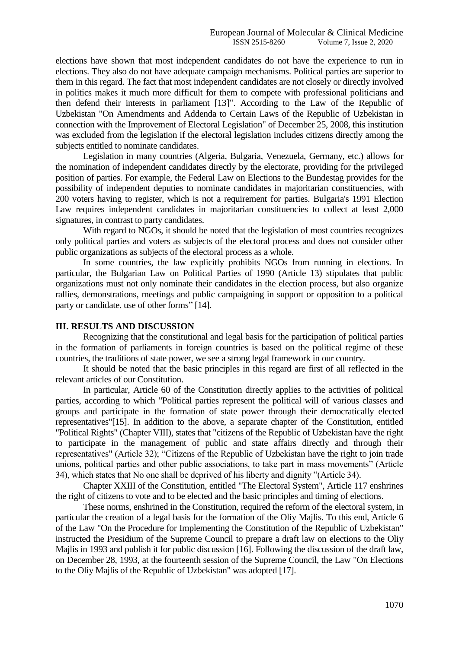elections have shown that most independent candidates do not have the experience to run in elections. They also do not have adequate campaign mechanisms. Political parties are superior to them in this regard. The fact that most independent candidates are not closely or directly involved in politics makes it much more difficult for them to compete with professional politicians and then defend their interests in parliament [13]". According to the Law of the Republic of Uzbekistan "On Amendments and Addenda to Certain Laws of the Republic of Uzbekistan in connection with the Improvement of Electoral Legislation" of December 25, 2008, this institution was excluded from the legislation if the electoral legislation includes citizens directly among the subjects entitled to nominate candidates.

Legislation in many countries (Algeria, Bulgaria, Venezuela, Germany, etc.) allows for the nomination of independent candidates directly by the electorate, providing for the privileged position of parties. For example, the Federal Law on Elections to the Bundestag provides for the possibility of independent deputies to nominate candidates in majoritarian constituencies, with 200 voters having to register, which is not a requirement for parties. Bulgaria's 1991 Election Law requires independent candidates in majoritarian constituencies to collect at least 2,000 signatures, in contrast to party candidates.

With regard to NGOs, it should be noted that the legislation of most countries recognizes only political parties and voters as subjects of the electoral process and does not consider other public organizations as subjects of the electoral process as a whole.

In some countries, the law explicitly prohibits NGOs from running in elections. In particular, the Bulgarian Law on Political Parties of 1990 (Article 13) stipulates that public organizations must not only nominate their candidates in the election process, but also organize rallies, demonstrations, meetings and public campaigning in support or opposition to a political party or candidate. use of other forms" [14].

#### **III. RESULTS AND DISCUSSION**

Recognizing that the constitutional and legal basis for the participation of political parties in the formation of parliaments in foreign countries is based on the political regime of these countries, the traditions of state power, we see a strong legal framework in our country.

It should be noted that the basic principles in this regard are first of all reflected in the relevant articles of our Constitution.

In particular, Article 60 of the Constitution directly applies to the activities of political parties, according to which "Political parties represent the political will of various classes and groups and participate in the formation of state power through their democratically elected representatives"[15]. In addition to the above, a separate chapter of the Constitution, entitled "Political Rights" (Chapter VIII), states that "citizens of the Republic of Uzbekistan have the right to participate in the management of public and state affairs directly and through their representatives" (Article 32); "Citizens of the Republic of Uzbekistan have the right to join trade unions, political parties and other public associations, to take part in mass movements" (Article 34), which states that No one shall be deprived of his liberty and dignity "(Article 34).

Chapter XXIII of the Constitution, entitled "The Electoral System", Article 117 enshrines the right of citizens to vote and to be elected and the basic principles and timing of elections.

These norms, enshrined in the Constitution, required the reform of the electoral system, in particular the creation of a legal basis for the formation of the Oliy Majlis. To this end, Article 6 of the Law "On the Procedure for Implementing the Constitution of the Republic of Uzbekistan" instructed the Presidium of the Supreme Council to prepare a draft law on elections to the Oliy Majlis in 1993 and publish it for public discussion [16]. Following the discussion of the draft law, on December 28, 1993, at the fourteenth session of the Supreme Council, the Law "On Elections to the Oliy Majlis of the Republic of Uzbekistan" was adopted [17].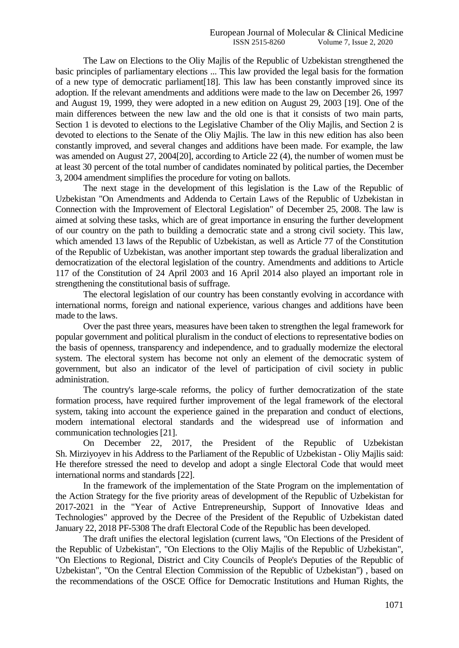The Law on Elections to the Oliy Majlis of the Republic of Uzbekistan strengthened the basic principles of parliamentary elections ... This law provided the legal basis for the formation of a new type of democratic parliament[18]. This law has been constantly improved since its adoption. If the relevant amendments and additions were made to the law on December 26, 1997 and August 19, 1999, they were adopted in a new edition on August 29, 2003 [19]. One of the main differences between the new law and the old one is that it consists of two main parts, Section 1 is devoted to elections to the Legislative Chamber of the Oliy Majlis, and Section 2 is devoted to elections to the Senate of the Oliy Majlis. The law in this new edition has also been constantly improved, and several changes and additions have been made. For example, the law was amended on August 27, 2004[20], according to Article 22 (4), the number of women must be at least 30 percent of the total number of candidates nominated by political parties, the December 3, 2004 amendment simplifies the procedure for voting on ballots.

The next stage in the development of this legislation is the Law of the Republic of Uzbekistan "On Amendments and Addenda to Certain Laws of the Republic of Uzbekistan in Connection with the Improvement of Electoral Legislation" of December 25, 2008. The law is aimed at solving these tasks, which are of great importance in ensuring the further development of our country on the path to building a democratic state and a strong civil society. This law, which amended 13 laws of the Republic of Uzbekistan, as well as Article 77 of the Constitution of the Republic of Uzbekistan, was another important step towards the gradual liberalization and democratization of the electoral legislation of the country. Amendments and additions to Article 117 of the Constitution of 24 April 2003 and 16 April 2014 also played an important role in strengthening the constitutional basis of suffrage.

The electoral legislation of our country has been constantly evolving in accordance with international norms, foreign and national experience, various changes and additions have been made to the laws.

Over the past three years, measures have been taken to strengthen the legal framework for popular government and political pluralism in the conduct of elections to representative bodies on the basis of openness, transparency and independence, and to gradually modernize the electoral system. The electoral system has become not only an element of the democratic system of government, but also an indicator of the level of participation of civil society in public administration.

The country's large-scale reforms, the policy of further democratization of the state formation process, have required further improvement of the legal framework of the electoral system, taking into account the experience gained in the preparation and conduct of elections, modern international electoral standards and the widespread use of information and communication technologies [21].

On December 22, 2017, the President of the Republic of Uzbekistan Sh. Mirziyoyev in his Address to the Parliament of the Republic of Uzbekistan - Oliy Majlis said: He therefore stressed the need to develop and adopt a single Electoral Code that would meet international norms and standards [22].

In the framework of the implementation of the State Program on the implementation of the Action Strategy for the five priority areas of development of the Republic of Uzbekistan for 2017-2021 in the "Year of Active Entrepreneurship, Support of Innovative Ideas and Technologies" approved by the Decree of the President of the Republic of Uzbekistan dated January 22, 2018 PF-5308 The draft Electoral Code of the Republic has been developed.

The draft unifies the electoral legislation (current laws, "On Elections of the President of the Republic of Uzbekistan", "On Elections to the Oliy Majlis of the Republic of Uzbekistan", "On Elections to Regional, District and City Councils of People's Deputies of the Republic of Uzbekistan", "On the Central Election Commission of the Republic of Uzbekistan") , based on the recommendations of the OSCE Office for Democratic Institutions and Human Rights, the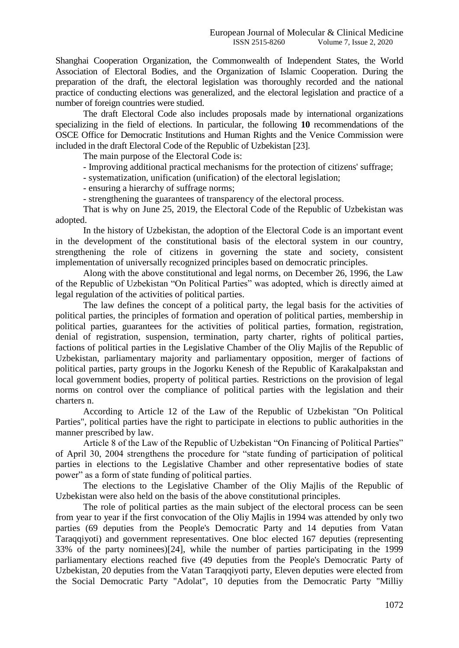Shanghai Cooperation Organization, the Commonwealth of Independent States, the World Association of Electoral Bodies, and the Organization of Islamic Cooperation. During the preparation of the draft, the electoral legislation was thoroughly recorded and the national practice of conducting elections was generalized, and the electoral legislation and practice of a number of foreign countries were studied.

The draft Electoral Code also includes proposals made by international organizations specializing in the field of elections. In particular, the following **10** recommendations of the OSCE Office for Democratic Institutions and Human Rights and the Venice Commission were included in the draft Electoral Code of the Republic of Uzbekistan [23].

The main purpose of the Electoral Code is:

- Improving additional practical mechanisms for the protection of citizens' suffrage;

- systematization, unification (unification) of the electoral legislation;

- ensuring a hierarchy of suffrage norms;

- strengthening the guarantees of transparency of the electoral process.

That is why on June 25, 2019, the Electoral Code of the Republic of Uzbekistan was adopted.

In the history of Uzbekistan, the adoption of the Electoral Code is an important event in the development of the constitutional basis of the electoral system in our country, strengthening the role of citizens in governing the state and society, consistent implementation of universally recognized principles based on democratic principles.

Along with the above constitutional and legal norms, on December 26, 1996, the Law of the Republic of Uzbekistan "On Political Parties" was adopted, which is directly aimed at legal regulation of the activities of political parties.

The law defines the concept of a political party, the legal basis for the activities of political parties, the principles of formation and operation of political parties, membership in political parties, guarantees for the activities of political parties, formation, registration, denial of registration, suspension, termination, party charter, rights of political parties, factions of political parties in the Legislative Chamber of the Oliy Majlis of the Republic of Uzbekistan, parliamentary majority and parliamentary opposition, merger of factions of political parties, party groups in the Jogorku Kenesh of the Republic of Karakalpakstan and local government bodies, property of political parties. Restrictions on the provision of legal norms on control over the compliance of political parties with the legislation and their charters n.

According to Article 12 of the Law of the Republic of Uzbekistan "On Political Parties", political parties have the right to participate in elections to public authorities in the manner prescribed by law.

Article 8 of the Law of the Republic of Uzbekistan "On Financing of Political Parties" of April 30, 2004 strengthens the procedure for "state funding of participation of political parties in elections to the Legislative Chamber and other representative bodies of state power" as a form of state funding of political parties.

The elections to the Legislative Chamber of the Oliy Majlis of the Republic of Uzbekistan were also held on the basis of the above constitutional principles.

The role of political parties as the main subject of the electoral process can be seen from year to year if the first convocation of the Oliy Majlis in 1994 was attended by only two parties (69 deputies from the People's Democratic Party and 14 deputies from Vatan Taraqqiyoti) and government representatives. One bloc elected 167 deputies (representing 33% of the party nominees)[24], while the number of parties participating in the 1999 parliamentary elections reached five (49 deputies from the People's Democratic Party of Uzbekistan, 20 deputies from the Vatan Taraqqiyoti party, Eleven deputies were elected from the Social Democratic Party "Adolat", 10 deputies from the Democratic Party "Milliy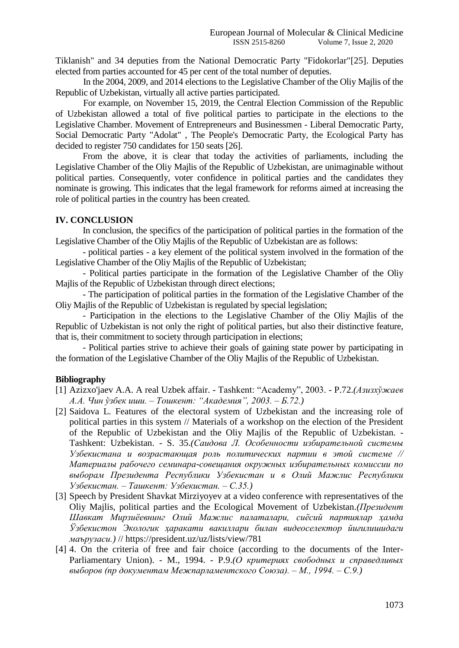Tiklanish" and 34 deputies from the National Democratic Party "Fidokorlar"[25]. Deputies elected from parties accounted for 45 per cent of the total number of deputies.

In the 2004, 2009, and 2014 elections to the Legislative Chamber of the Oliy Majlis of the Republic of Uzbekistan, virtually all active parties participated.

For example, on November 15, 2019, the Central Election Commission of the Republic of Uzbekistan allowed a total of five political parties to participate in the elections to the Legislative Chamber. Movement of Entrepreneurs and Businessmen - Liberal Democratic Party, Social Democratic Party "Adolat" , The People's Democratic Party, the Ecological Party has decided to register 750 candidates for 150 seats [26].

From the above, it is clear that today the activities of parliaments, including the Legislative Chamber of the Oliy Majlis of the Republic of Uzbekistan, are unimaginable without political parties. Consequently, voter confidence in political parties and the candidates they nominate is growing. This indicates that the legal framework for reforms aimed at increasing the role of political parties in the country has been created.

## **IV. CONCLUSION**

In conclusion, the specifics of the participation of political parties in the formation of the Legislative Chamber of the Oliy Majlis of the Republic of Uzbekistan are as follows:

- political parties - a key element of the political system involved in the formation of the Legislative Chamber of the Oliy Majlis of the Republic of Uzbekistan;

- Political parties participate in the formation of the Legislative Chamber of the Oliy Majlis of the Republic of Uzbekistan through direct elections;

- The participation of political parties in the formation of the Legislative Chamber of the Oliy Majlis of the Republic of Uzbekistan is regulated by special legislation;

- Participation in the elections to the Legislative Chamber of the Oliy Majlis of the Republic of Uzbekistan is not only the right of political parties, but also their distinctive feature, that is, their commitment to society through participation in elections;

- Political parties strive to achieve their goals of gaining state power by participating in the formation of the Legislative Chamber of the Oliy Majlis of the Republic of Uzbekistan.

## **Bibliography**

- [1] Azizxo'jaev A.A. A real Uzbek affair. Tashkent: "Academy", 2003. P.72.*(Азизхўжаев А.А. Чин ўзбек иши. – Тошкент: "Академия", 2003. – Б.72.)*
- [2] Saidova L. Features of the electoral system of Uzbekistan and the increasing role of political parties in this system // Materials of a workshop on the election of the President of the Republic of Uzbekistan and the Oliy Majlis of the Republic of Uzbekistan. - Tashkent: Uzbekistan. - S. 35.*(Саидова Л. Особенности избирательной системы Узбекистана и возрастающая роль политических партии в этой системе // Материалы рабочего семинара-совещания окружных избирательных комиссии по выборам Президента Республики Узбекистан и в Олий Мажлис Республики Узбекистан. – Ташкент: Узбекистан. – С.35.)*
- [3] Speech by President Shavkat Mirziyoyev at a video conference with representatives of the Oliy Majlis, political parties and the Ecological Movement of Uzbekistan.*(Президент Шавкат Мирзиёевнинг Олий Мажлис палаталари, сиёсий партиялар ҳамда Ўзбекистон Экологик ҳаракати вакиллари билан видеоселектор йиғилишидаги маърузаси.)* //<https://president.uz/uz/lists/view/781>
- [4] 4. On the criteria of free and fair choice (according to the documents of the Inter-Parliamentary Union). - M., 1994. - P.9.*(О критериях свободных и справедливых выборов (пр документам Межпарламентского Союза). – М., 1994. – С.9.)*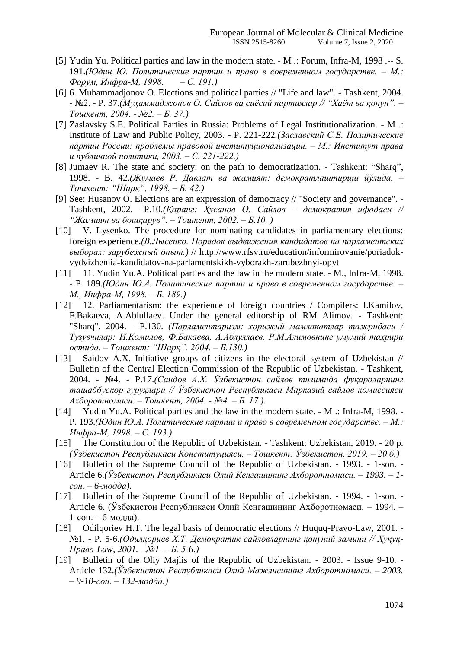- [5] Yudin Yu. Political parties and law in the modern state. M .: Forum, Infra-M, 1998 .-- S. 191.*(Юдин Ю. Политические партии и право в современном государстве. – М.: Форум, Инфра-М, 1998. – С. 191.)*
- [6] 6. Muhammadjonov O. Elections and political parties // "Life and law". Tashkent, 2004. - №2. - P. 37.*(Муҳаммаджонов О. Сайлов ва сиёсий партиялар // "Ҳаёт ва қонун". – Тошкент, 2004. - №2. – Б. 37.)*
- [7] Zaslavsky S.E. Political Parties in Russia: Problems of Legal Institutionalization. M .: Institute of Law and Public Policy, 2003. - P. 221-222*.(Заславский С.Е. Политические партии России: проблемы правовой институционализации. – М.: Институт права и публичной политики, 2003. – С. 221-222.)*
- [8] Jumaev R. The state and society: on the path to democratization. Tashkent: "Sharq", 1998. - B. 42.*(Жумаев Р. Давлат ва жамият: демократлаштириш йўлида. – Тошкент: "Шарқ", 1998. – Б. 42.)*
- [9] See: Husanov O. Elections are an expression of democracy // "Society and governance". Tashkent, 2002. –P.10.*(Қаранг: Ҳусанов О. Сайлов – демократия ифодаси // "Жамият ва бошқарув". – Тошкент, 2002. – Б.10. )*
- [10] V. Lysenko. The procedure for nominating candidates in parliamentary elections: foreign experience.*(В.Лысенко. Порядок выдвижения кандидатов на парламентских выборах: зарубежный опыт.)* // [http://www.rfsv.ru/education/informirovanie/poriadok](http://www.rfsv.ru/education/informirovanie/poriadok-vydvizheniia-kandidatov-na-parlamentskikh-vyborakh-zarubezhnyi-opyt)[vydvizheniia-kandidatov-na-parlamentskikh-vyborakh-zarubezhnyi-opyt](http://www.rfsv.ru/education/informirovanie/poriadok-vydvizheniia-kandidatov-na-parlamentskikh-vyborakh-zarubezhnyi-opyt)
- [11] 11. Yudin Yu.A. Political parties and the law in the modern state. M., Infra-M, 1998. - P. 189.*(Юдин Ю.А. Политические партии и право в современном государстве. – М., Инфра-М, 1998. – Б. 189.)*
- [12] 12. Parliamentarism: the experience of foreign countries / Compilers: I.Kamilov, F.Bakaeva, A.Ablullaev. Under the general editorship of RM Alimov. - Tashkent: "Sharq". 2004. - P.130. *(Парламентаризм: хорижий мамлакатлар тажрибаси / Тузувчилар: И.Комилов, Ф.Бакаева, А.Аблуллаев. Р.М.Алимовнинг умумий таҳрири остида. – Тошкент: "Шарқ". 2004. – Б.130.)*
- [13] Saidov A.X. Initiative groups of citizens in the electoral system of Uzbekistan // Bulletin of the Central Election Commission of the Republic of Uzbekistan. - Tashkent, 2004. - №4. - P.17.*(Саидов А.Х. Ўзбекистон сайлов тизимида фуқароларнинг ташаббускор гуруҳлари // Ўзбекистон Республикаси Марказий сайлов комиссияси Ахборотномаси. – Тошкент, 2004. - №4. – Б. 17.).*
- [14] Yudin Yu.A. Political parties and the law in the modern state. M .: Infra-M, 1998. P. 193.*(Юдин Ю.А. Политические партии и право в современном государстве. – М.: Инфра-М, 1998. – С. 193.)*
- [15] The Constitution of the Republic of Uzbekistan. Tashkent: Uzbekistan, 2019. 20 p. *(Ўзбекистон Республикаси Конституцияси. – Тошкент: Ўзбекистон, 2019. – 20 б.)*
- [16] Bulletin of the Supreme Council of the Republic of Uzbekistan. 1993. 1-son. Article 6.*(Ўзбекистон Республикаси Олий Кенгашининг Ахборотномаси. – 1993. – 1 сон. – 6-модда).*
- [17] Bulletin of the Supreme Council of the Republic of Uzbekistan. 1994. 1-son. -Article 6. (Ўзбекистон Республикаси Олий Кенгашининг Ахборотномаси. – 1994. – 1-сон. – 6-модда).
- [18] Odilqoriev H.T. The legal basis of democratic elections // Huquq-Pravo-Law, 2001. №1. - P. 5-6.*(Одилқориев Ҳ.Т. Демократик сайловларнинг қонуний замини // Ҳуқуқ-Право-Law, 2001. - №1. – Б. 5-6.)*
- [19] Bulletin of the Oliy Majlis of the Republic of Uzbekistan. 2003. Issue 9-10. Article 132.*(Ўзбекистон Республикаси Олий Мажлисининг Ахборотномаси. – 2003. – 9-10-сон. – 132-модда.)*